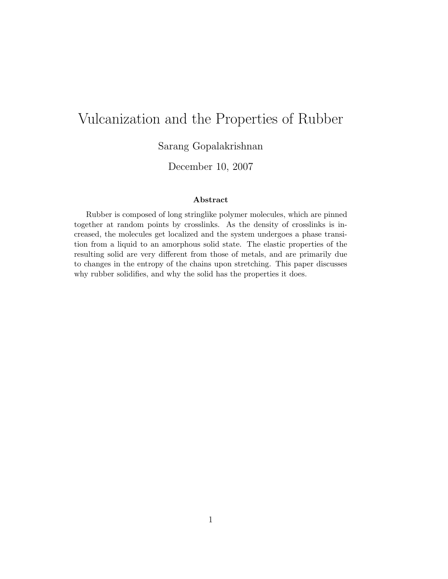# Vulcanization and the Properties of Rubber

Sarang Gopalakrishnan

December 10, 2007

#### Abstract

Rubber is composed of long stringlike polymer molecules, which are pinned together at random points by crosslinks. As the density of crosslinks is increased, the molecules get localized and the system undergoes a phase transition from a liquid to an amorphous solid state. The elastic properties of the resulting solid are very different from those of metals, and are primarily due to changes in the entropy of the chains upon stretching. This paper discusses why rubber solidifies, and why the solid has the properties it does.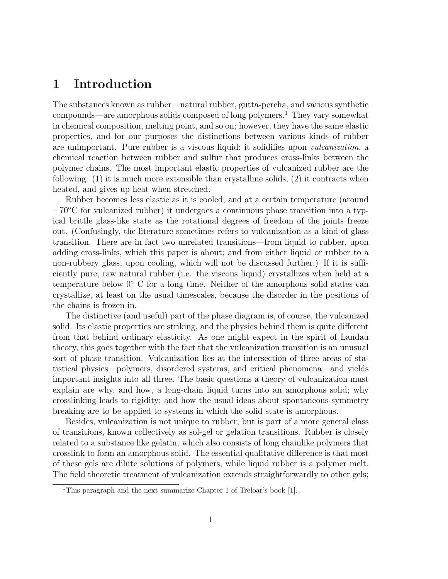## 1 Introduction

The substances known as rubber—natural rubber, gutta-percha, and various synthetic compounds—are amorphous solids composed of long polymers.<sup>1</sup> They vary somewhat in chemical composition, melting point, and so on; however, they have the same elastic properties, and for our purposes the distinctions between various kinds of rubber are unimportant. Pure rubber is a viscous liquid; it solidifies upon vulcanization, a chemical reaction between rubber and sulfur that produces cross-links between the polymer chains. The most important elastic properties of vulcanized rubber are the following: (1) it is much more extensible than crystalline solids, (2) it contracts when heated, and gives up heat when stretched.

Rubber becomes less elastic as it is cooled, and at a certain temperature (around −70◦C for vulcanized rubber) it undergoes a continuous phase transition into a typical brittle glass-like state as the rotational degrees of freedom of the joints freeze out. (Confusingly, the literature sometimes refers to vulcanization as a kind of glass transition. There are in fact two unrelated transitions—from liquid to rubber, upon adding cross-links, which this paper is about; and from either liquid or rubber to a non-rubbery glass, upon cooling, which will not be discussed further.) If it is sufficiently pure, raw natural rubber (i.e. the viscous liquid) crystallizes when held at a temperature below 0◦ C for a long time. Neither of the amorphous solid states can crystallize, at least on the usual timescales, because the disorder in the positions of the chains is frozen in.

The distinctive (and useful) part of the phase diagram is, of course, the vulcanized solid. Its elastic properties are striking, and the physics behind them is quite different from that behind ordinary elasticity. As one might expect in the spirit of Landau theory, this goes together with the fact that the vulcanization transition is an unusual sort of phase transition. Vulcanization lies at the intersection of three areas of statistical physics—polymers, disordered systems, and critical phenomena—and yields important insights into all three. The basic questions a theory of vulcanization must explain are why, and how, a long-chain liquid turns into an amorphous solid; why crosslinking leads to rigidity; and how the usual ideas about spontaneous symmetry breaking are to be applied to systems in which the solid state is amorphous.

Besides, vulcanization is not unique to rubber, but is part of a more general class of transitions, known collectively as sol-gel or gelation transitions. Rubber is closely related to a substance like gelatin, which also consists of long chainlike polymers that crosslink to form an amorphous solid. The essential qualitative difference is that most of these gels are dilute solutions of polymers, while liquid rubber is a polymer melt. The field theoretic treatment of vulcanization extends straightforwardly to other gels;

<sup>&</sup>lt;sup>1</sup>This paragraph and the next summarize Chapter 1 of Treloar's book [1].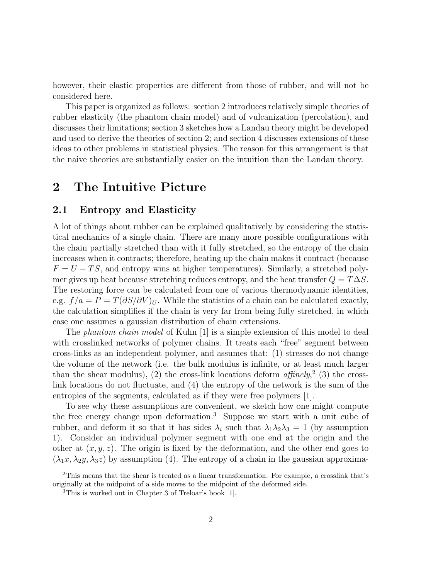however, their elastic properties are different from those of rubber, and will not be considered here.

This paper is organized as follows: section 2 introduces relatively simple theories of rubber elasticity (the phantom chain model) and of vulcanization (percolation), and discusses their limitations; section 3 sketches how a Landau theory might be developed and used to derive the theories of section 2; and section 4 discusses extensions of these ideas to other problems in statistical physics. The reason for this arrangement is that the naive theories are substantially easier on the intuition than the Landau theory.

## 2 The Intuitive Picture

#### 2.1 Entropy and Elasticity

A lot of things about rubber can be explained qualitatively by considering the statistical mechanics of a single chain. There are many more possible configurations with the chain partially stretched than with it fully stretched, so the entropy of the chain increases when it contracts; therefore, heating up the chain makes it contract (because  $F = U - TS$ , and entropy wins at higher temperatures). Similarly, a stretched polymer gives up heat because stretching reduces entropy, and the heat transfer  $Q = T\Delta S$ . The restoring force can be calculated from one of various thermodynamic identities, e.g.  $f/a = P = T(\partial S/\partial V)_U$ . While the statistics of a chain can be calculated exactly, the calculation simplifies if the chain is very far from being fully stretched, in which case one assumes a gaussian distribution of chain extensions.

The *phantom chain model* of Kuhn [1] is a simple extension of this model to deal with crosslinked networks of polymer chains. It treats each "free" segment between cross-links as an independent polymer, and assumes that: (1) stresses do not change the volume of the network (i.e. the bulk modulus is infinite, or at least much larger than the shear modulus), (2) the cross-link locations deform  $affinely^2$  (3) the crosslink locations do not fluctuate, and (4) the entropy of the network is the sum of the entropies of the segments, calculated as if they were free polymers [1].

To see why these assumptions are convenient, we sketch how one might compute the free energy change upon deformation.<sup>3</sup> Suppose we start with a unit cube of rubber, and deform it so that it has sides  $\lambda_i$  such that  $\lambda_1\lambda_2\lambda_3 = 1$  (by assumption 1). Consider an individual polymer segment with one end at the origin and the other at  $(x, y, z)$ . The origin is fixed by the deformation, and the other end goes to  $(\lambda_1x, \lambda_2y, \lambda_3z)$  by assumption (4). The entropy of a chain in the gaussian approxima-

<sup>2</sup>This means that the shear is treated as a linear transformation. For example, a crosslink that's originally at the midpoint of a side moves to the midpoint of the deformed side.

<sup>3</sup>This is worked out in Chapter 3 of Treloar's book [1].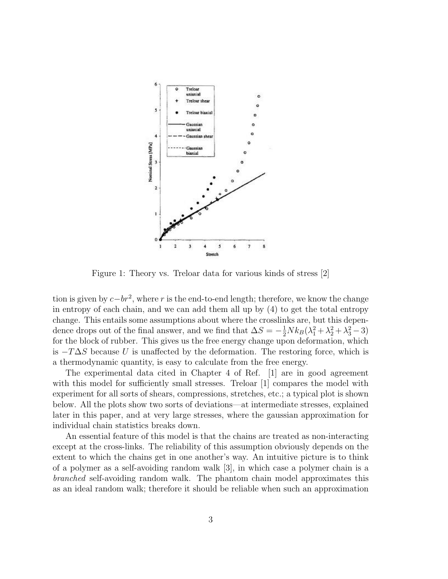

Figure 1: Theory vs. Treloar data for various kinds of stress [2]

tion is given by  $c - br^2$ , where r is the end-to-end length; therefore, we know the change in entropy of each chain, and we can add them all up by (4) to get the total entropy change. This entails some assumptions about where the crosslinks are, but this dependence drops out of the final answer, and we find that  $\Delta S = -\frac{1}{2} N k_B (\lambda_1^2 + \lambda_2^2 + \lambda_3^2 - 3)$ for the block of rubber. This gives us the free energy change upon deformation, which is  $-T\Delta S$  because U is unaffected by the deformation. The restoring force, which is a thermodynamic quantity, is easy to calculate from the free energy.

The experimental data cited in Chapter 4 of Ref. [1] are in good agreement with this model for sufficiently small stresses. Treloar [1] compares the model with experiment for all sorts of shears, compressions, stretches, etc.; a typical plot is shown below. All the plots show two sorts of deviations—at intermediate stresses, explained later in this paper, and at very large stresses, where the gaussian approximation for individual chain statistics breaks down.

An essential feature of this model is that the chains are treated as non-interacting except at the cross-links. The reliability of this assumption obviously depends on the extent to which the chains get in one another's way. An intuitive picture is to think of a polymer as a self-avoiding random walk [3], in which case a polymer chain is a branched self-avoiding random walk. The phantom chain model approximates this as an ideal random walk; therefore it should be reliable when such an approximation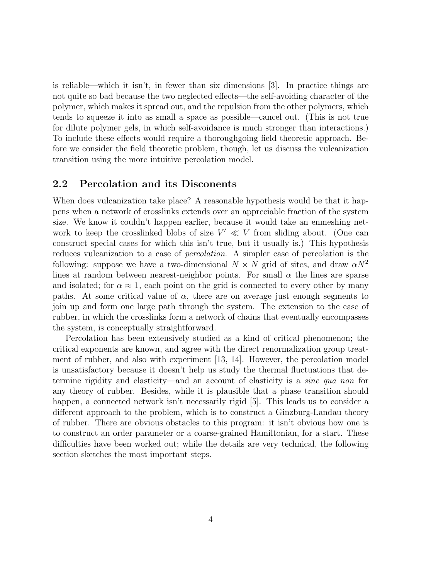is reliable—which it isn't, in fewer than six dimensions [3]. In practice things are not quite so bad because the two neglected effects—the self-avoiding character of the polymer, which makes it spread out, and the repulsion from the other polymers, which tends to squeeze it into as small a space as possible—cancel out. (This is not true for dilute polymer gels, in which self-avoidance is much stronger than interactions.) To include these effects would require a thoroughgoing field theoretic approach. Before we consider the field theoretic problem, though, let us discuss the vulcanization transition using the more intuitive percolation model.

#### 2.2 Percolation and its Disconents

When does vulcanization take place? A reasonable hypothesis would be that it happens when a network of crosslinks extends over an appreciable fraction of the system size. We know it couldn't happen earlier, because it would take an enmeshing network to keep the crosslinked blobs of size  $V' \ll V$  from sliding about. (One can construct special cases for which this isn't true, but it usually is.) This hypothesis reduces vulcanization to a case of percolation. A simpler case of percolation is the following: suppose we have a two-dimensional  $N \times N$  grid of sites, and draw  $\alpha N^2$ lines at random between nearest-neighbor points. For small  $\alpha$  the lines are sparse and isolated; for  $\alpha \approx 1$ , each point on the grid is connected to every other by many paths. At some critical value of  $\alpha$ , there are on average just enough segments to join up and form one large path through the system. The extension to the case of rubber, in which the crosslinks form a network of chains that eventually encompasses the system, is conceptually straightforward.

Percolation has been extensively studied as a kind of critical phenomenon; the critical exponents are known, and agree with the direct renormalization group treatment of rubber, and also with experiment [13, 14]. However, the percolation model is unsatisfactory because it doesn't help us study the thermal fluctuations that determine rigidity and elasticity—and an account of elasticity is a sine qua non for any theory of rubber. Besides, while it is plausible that a phase transition should happen, a connected network isn't necessarily rigid [5]. This leads us to consider a different approach to the problem, which is to construct a Ginzburg-Landau theory of rubber. There are obvious obstacles to this program: it isn't obvious how one is to construct an order parameter or a coarse-grained Hamiltonian, for a start. These difficulties have been worked out; while the details are very technical, the following section sketches the most important steps.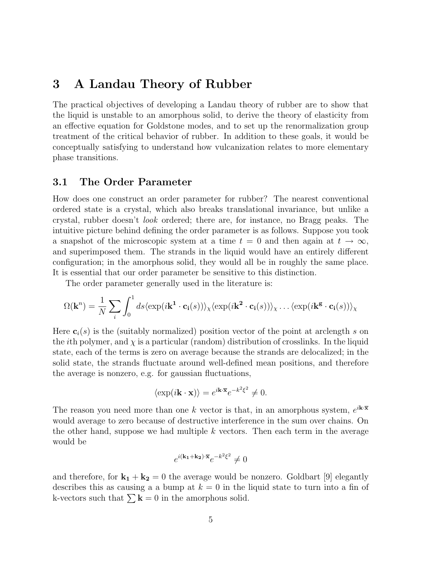## 3 A Landau Theory of Rubber

The practical objectives of developing a Landau theory of rubber are to show that the liquid is unstable to an amorphous solid, to derive the theory of elasticity from an effective equation for Goldstone modes, and to set up the renormalization group treatment of the critical behavior of rubber. In addition to these goals, it would be conceptually satisfying to understand how vulcanization relates to more elementary phase transitions.

### 3.1 The Order Parameter

How does one construct an order parameter for rubber? The nearest conventional ordered state is a crystal, which also breaks translational invariance, but unlike a crystal, rubber doesn't look ordered; there are, for instance, no Bragg peaks. The intuitive picture behind defining the order parameter is as follows. Suppose you took a snapshot of the microscopic system at a time  $t = 0$  and then again at  $t \to \infty$ , and superimposed them. The strands in the liquid would have an entirely different configuration; in the amorphous solid, they would all be in roughly the same place. It is essential that our order parameter be sensitive to this distinction.

The order parameter generally used in the literature is:

$$
\Omega(\mathbf{k}^n) = \frac{1}{N} \sum_{i} \int_0^1 ds \langle \exp(i\mathbf{k}^1 \cdot \mathbf{c_i}(s)) \rangle_{\chi} \langle \exp(i\mathbf{k}^2 \cdot \mathbf{c_i}(s)) \rangle_{\chi} \dots \langle \exp(i\mathbf{k}^g \cdot \mathbf{c_i}(s)) \rangle_{\chi}
$$

Here  $c_i(s)$  is the (suitably normalized) position vector of the point at arclength s on the *i*th polymer, and  $\chi$  is a particular (random) distribution of crosslinks. In the liquid state, each of the terms is zero on average because the strands are delocalized; in the solid state, the strands fluctuate around well-defined mean positions, and therefore the average is nonzero, e.g. for gaussian fluctuations,

$$
\langle \exp(i\mathbf{k}\cdot\mathbf{x})\rangle = e^{i\mathbf{k}\cdot\overline{\mathbf{x}}}e^{-k^2\xi^2} \neq 0.
$$

The reason you need more than one k vector is that, in an amorphous system,  $e^{i\mathbf{k}\cdot\overline{\mathbf{x}}}$ would average to zero because of destructive interference in the sum over chains. On the other hand, suppose we had multiple  $k$  vectors. Then each term in the average would be

$$
e^{i(\mathbf{k_1} + \mathbf{k_2}) \cdot \overline{\mathbf{x}}} e^{-k^2 \xi^2} \neq 0
$$

and therefore, for  $\mathbf{k_1} + \mathbf{k_2} = 0$  the average would be nonzero. Goldbart [9] elegantly describes this as causing a a bump at  $k = 0$  in the liquid state to turn into a fin of k-vectors such that  $\sum \mathbf{k} = 0$  in the amorphous solid.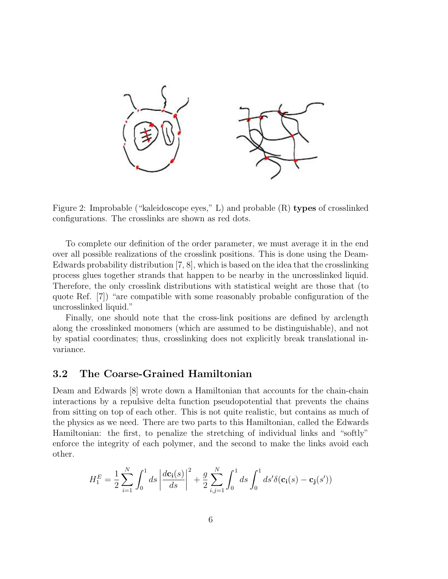

Figure 2: Improbable ("kaleidoscope eyes," L) and probable (R) types of crosslinked configurations. The crosslinks are shown as red dots.

To complete our definition of the order parameter, we must average it in the end over all possible realizations of the crosslink positions. This is done using the Deam-Edwards probability distribution [7, 8], which is based on the idea that the crosslinking process glues together strands that happen to be nearby in the uncrosslinked liquid. Therefore, the only crosslink distributions with statistical weight are those that (to quote Ref. [7]) "are compatible with some reasonably probable configuration of the uncrosslinked liquid."

Finally, one should note that the cross-link positions are defined by arclength along the crosslinked monomers (which are assumed to be distinguishable), and not by spatial coordinates; thus, crosslinking does not explicitly break translational invariance.

#### 3.2 The Coarse-Grained Hamiltonian

Deam and Edwards [8] wrote down a Hamiltonian that accounts for the chain-chain interactions by a repulsive delta function pseudopotential that prevents the chains from sitting on top of each other. This is not quite realistic, but contains as much of the physics as we need. There are two parts to this Hamiltonian, called the Edwards Hamiltonian: the first, to penalize the stretching of individual links and "softly" enforce the integrity of each polymer, and the second to make the links avoid each other.

$$
H_1^E = \frac{1}{2} \sum_{i=1}^N \int_0^1 ds \left| \frac{d\mathbf{c_i}(s)}{ds} \right|^2 + \frac{g}{2} \sum_{i,j=1}^N \int_0^1 ds \int_0^1 ds' \delta(\mathbf{c_i}(s) - \mathbf{c_j}(s'))
$$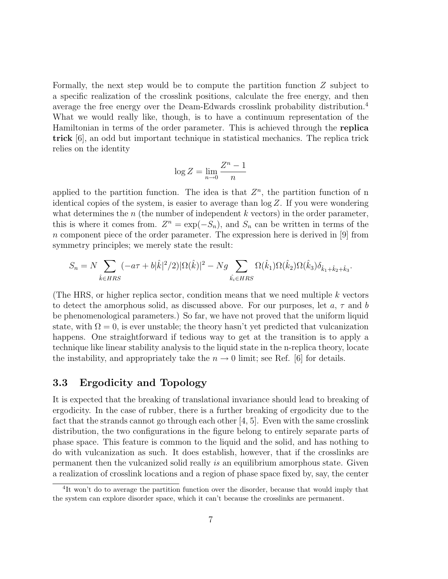Formally, the next step would be to compute the partition function Z subject to a specific realization of the crosslink positions, calculate the free energy, and then average the free energy over the Deam-Edwards crosslink probability distribution.<sup>4</sup> What we would really like, though, is to have a continuum representation of the Hamiltonian in terms of the order parameter. This is achieved through the replica trick [6], an odd but important technique in statistical mechanics. The replica trick relies on the identity

$$
\log Z = \lim_{n \to 0} \frac{Z^n - 1}{n}
$$

applied to the partition function. The idea is that  $Z<sup>n</sup>$ , the partition function of n identical copies of the system, is easier to average than  $log Z$ . If you were wondering what determines the *n* (the number of independent k vectors) in the order parameter, this is where it comes from.  $Z^n = \exp(-S_n)$ , and  $S_n$  can be written in terms of the n component piece of the order parameter. The expression here is derived in [9] from symmetry principles; we merely state the result:

$$
S_n = N \sum_{\hat{k} \in HRS} (-a\tau + b|\hat{k}|^2/2) |\Omega(\hat{k})|^2 - N g \sum_{\hat{k}_i \in HRS} \Omega(\hat{k}_1) \Omega(\hat{k}_2) \Omega(\hat{k}_3) \delta_{\hat{k}_1 + \hat{k}_2 + \hat{k}_3}.
$$

(The HRS, or higher replica sector, condition means that we need multiple  $k$  vectors to detect the amorphous solid, as discussed above. For our purposes, let  $a, \tau$  and b be phenomenological parameters.) So far, we have not proved that the uniform liquid state, with  $\Omega = 0$ , is ever unstable; the theory hasn't yet predicted that vulcanization happens. One straightforward if tedious way to get at the transition is to apply a technique like linear stability analysis to the liquid state in the n-replica theory, locate the instability, and appropriately take the  $n \to 0$  limit; see Ref. [6] for details.

#### 3.3 Ergodicity and Topology

It is expected that the breaking of translational invariance should lead to breaking of ergodicity. In the case of rubber, there is a further breaking of ergodicity due to the fact that the strands cannot go through each other [4, 5]. Even with the same crosslink distribution, the two configurations in the figure belong to entirely separate parts of phase space. This feature is common to the liquid and the solid, and has nothing to do with vulcanization as such. It does establish, however, that if the crosslinks are permanent then the vulcanized solid really is an equilibrium amorphous state. Given a realization of crosslink locations and a region of phase space fixed by, say, the center

<sup>&</sup>lt;sup>4</sup>It won't do to average the partition function over the disorder, because that would imply that the system can explore disorder space, which it can't because the crosslinks are permanent.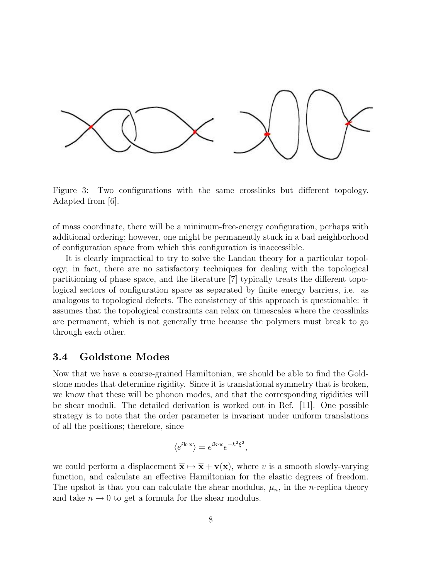

Figure 3: Two configurations with the same crosslinks but different topology. Adapted from [6].

of mass coordinate, there will be a minimum-free-energy configuration, perhaps with additional ordering; however, one might be permanently stuck in a bad neighborhood of configuration space from which this configuration is inaccessible.

It is clearly impractical to try to solve the Landau theory for a particular topology; in fact, there are no satisfactory techniques for dealing with the topological partitioning of phase space, and the literature [7] typically treats the different topological sectors of configuration space as separated by finite energy barriers, i.e. as analogous to topological defects. The consistency of this approach is questionable: it assumes that the topological constraints can relax on timescales where the crosslinks are permanent, which is not generally true because the polymers must break to go through each other.

#### 3.4 Goldstone Modes

Now that we have a coarse-grained Hamiltonian, we should be able to find the Goldstone modes that determine rigidity. Since it is translational symmetry that is broken, we know that these will be phonon modes, and that the corresponding rigidities will be shear moduli. The detailed derivation is worked out in Ref. [11]. One possible strategy is to note that the order parameter is invariant under uniform translations of all the positions; therefore, since

$$
\langle e^{i{\bf k}\cdot{\bf x}}\rangle = e^{i{\bf k}\cdot\overline{\bf x}}e^{-k^2\xi^2},
$$

we could perform a displacement  $\bar{\mathbf{x}} \mapsto \bar{\mathbf{x}} + \mathbf{v}(\mathbf{x})$ , where v is a smooth slowly-varying function, and calculate an effective Hamiltonian for the elastic degrees of freedom. The upshot is that you can calculate the shear modulus,  $\mu_n$ , in the *n*-replica theory and take  $n \to 0$  to get a formula for the shear modulus.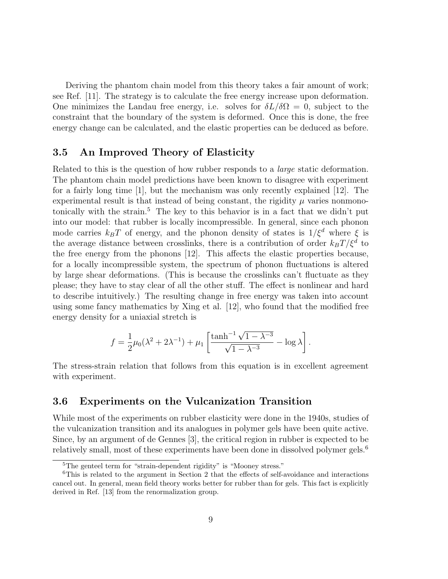Deriving the phantom chain model from this theory takes a fair amount of work; see Ref. [11]. The strategy is to calculate the free energy increase upon deformation. One minimizes the Landau free energy, i.e. solves for  $\delta L/\delta \Omega = 0$ , subject to the constraint that the boundary of the system is deformed. Once this is done, the free energy change can be calculated, and the elastic properties can be deduced as before.

#### 3.5 An Improved Theory of Elasticity

Related to this is the question of how rubber responds to a large static deformation. The phantom chain model predictions have been known to disagree with experiment for a fairly long time [1], but the mechanism was only recently explained [12]. The experimental result is that instead of being constant, the rigidity  $\mu$  varies nonmonotonically with the strain.<sup>5</sup> The key to this behavior is in a fact that we didn't put into our model: that rubber is locally incompressible. In general, since each phonon mode carries  $k_BT$  of energy, and the phonon density of states is  $1/\xi^d$  where  $\xi$  is the average distance between crosslinks, there is a contribution of order  $k_B T/\xi^d$  to the free energy from the phonons [12]. This affects the elastic properties because, for a locally incompressible system, the spectrum of phonon fluctuations is altered by large shear deformations. (This is because the crosslinks can't fluctuate as they please; they have to stay clear of all the other stuff. The effect is nonlinear and hard to describe intuitively.) The resulting change in free energy was taken into account using some fancy mathematics by Xing et al. [12], who found that the modified free energy density for a uniaxial stretch is

$$
f = \frac{1}{2}\mu_0(\lambda^2 + 2\lambda^{-1}) + \mu_1 \left[ \frac{\tanh^{-1} \sqrt{1 - \lambda^{-3}}}{\sqrt{1 - \lambda^{-3}}} - \log \lambda \right].
$$

The stress-strain relation that follows from this equation is in excellent agreement with experiment.

#### 3.6 Experiments on the Vulcanization Transition

While most of the experiments on rubber elasticity were done in the 1940s, studies of the vulcanization transition and its analogues in polymer gels have been quite active. Since, by an argument of de Gennes [3], the critical region in rubber is expected to be relatively small, most of these experiments have been done in dissolved polymer gels.<sup>6</sup>

<sup>&</sup>lt;sup>5</sup>The genteel term for "strain-dependent rigidity" is "Mooney stress."

<sup>6</sup>This is related to the argument in Section 2 that the effects of self-avoidance and interactions cancel out. In general, mean field theory works better for rubber than for gels. This fact is explicitly derived in Ref. [13] from the renormalization group.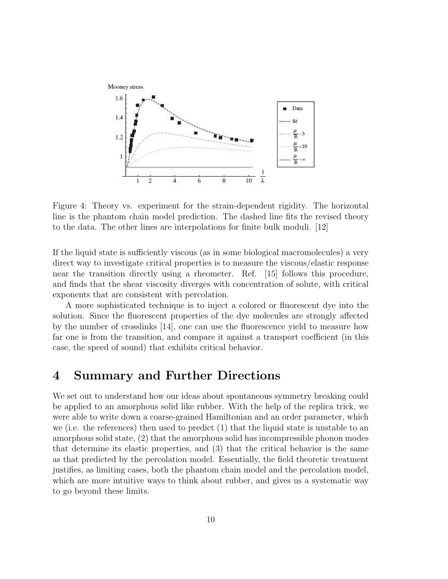

Figure 4: Theory vs. experiment for the strain-dependent rigidity. The horizontal line is the phantom chain model prediction. The dashed line fits the revised theory to the data. The other lines are interpolations for finite bulk moduli. [12]

If the liquid state is sufficiently viscous (as in some biological macromolecules) a very direct way to investigate critical properties is to measure the viscous/elastic response near the transition directly using a rheometer. Ref. [15] follows this procedure, and finds that the shear viscosity diverges with concentration of solute, with critical exponents that are consistent with percolation.

A more sophisticated technique is to inject a colored or fluorescent dye into the solution. Since the fluorescent properties of the dye molecules are strongly affected by the number of crosslinks [14], one can use the fluorescence yield to measure how far one is from the transition, and compare it against a transport coefficient (in this case, the speed of sound) that exhibits critical behavior.

## 4 Summary and Further Directions

We set out to understand how our ideas about spontaneous symmetry breaking could be applied to an amorphous solid like rubber. With the help of the replica trick, we were able to write down a coarse-grained Hamiltonian and an order parameter, which we (i.e. the references) then used to predict (1) that the liquid state is unstable to an amorphous solid state, (2) that the amorphous solid has incompressible phonon modes that determine its elastic properties, and (3) that the critical behavior is the same as that predicted by the percolation model. Essentially, the field theoretic treatment justifies, as limiting cases, both the phantom chain model and the percolation model, which are more intuitive ways to think about rubber, and gives us a systematic way to go beyond these limits.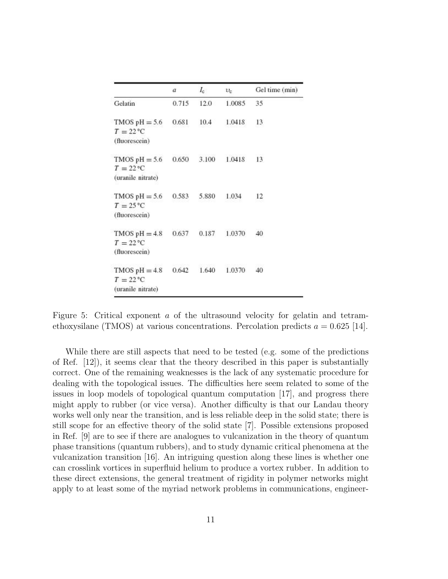|                                                           | a     | $I_{\rm c}$ | $v_{\rm c}$ | Gel time (min) |
|-----------------------------------------------------------|-------|-------------|-------------|----------------|
| Gelatin                                                   | 0.715 | 12.0        | 1.0085      | 35             |
| TMOS $pH = 5.6$<br>$T = 22^{\circ}C$<br>(fluorescein)     | 0.681 | 10.4        | 1.0418      | 13             |
| TMOS $pH = 5.6$<br>$T = 22$ °C<br>(uranile nitrate)       | 0.650 | 3.100       | 1.0418      | 13             |
| TMOS $pH = 5.6$<br>$T = 25^{\circ}C$<br>(fluorescein)     | 0.583 | 5.880       | 1.034       | 12             |
| TMOS $pH = 4.8$<br>$T = 22^{\circ}C$<br>(fluorescein)     | 0.637 | 0.187       | 1.0370      | 40             |
| TMOS $pH = 4.8$<br>$T = 22^{\circ}C$<br>(uranile nitrate) | 0.642 | 1.640       | 1.0370      | 40             |

Figure 5: Critical exponent a of the ultrasound velocity for gelatin and tetramethoxysilane (TMOS) at various concentrations. Percolation predicts  $a = 0.625$  [14].

While there are still aspects that need to be tested (e.g. some of the predictions of Ref. [12]), it seems clear that the theory described in this paper is substantially correct. One of the remaining weaknesses is the lack of any systematic procedure for dealing with the topological issues. The difficulties here seem related to some of the issues in loop models of topological quantum computation [17], and progress there might apply to rubber (or vice versa). Another difficulty is that our Landau theory works well only near the transition, and is less reliable deep in the solid state; there is still scope for an effective theory of the solid state [7]. Possible extensions proposed in Ref. [9] are to see if there are analogues to vulcanization in the theory of quantum phase transitions (quantum rubbers), and to study dynamic critical phenomena at the vulcanization transition [16]. An intriguing question along these lines is whether one can crosslink vortices in superfluid helium to produce a vortex rubber. In addition to these direct extensions, the general treatment of rigidity in polymer networks might apply to at least some of the myriad network problems in communications, engineer